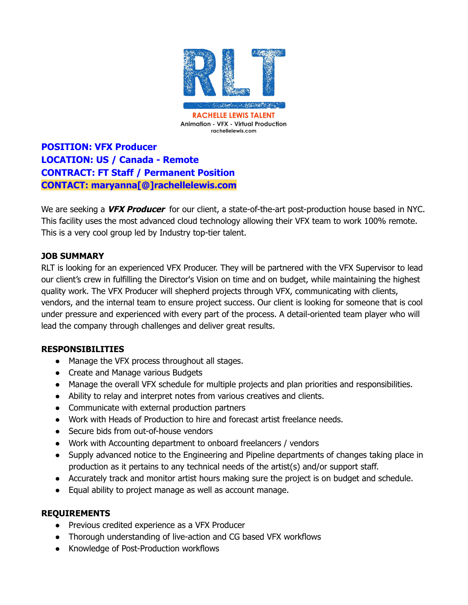

**POSITION: VFX Producer LOCATION: US / Canada - Remote CONTRACT: FT Staff / Permanent Position CONTACT: maryanna[@]rachellelewis.com**

We are seeking a **VFX Producer** for our client, a state-of-the-art post-production house based in NYC. This facility uses the most advanced cloud technology allowing their VFX team to work 100% remote. This is a very cool group led by Industry top-tier talent.

## **JOB SUMMARY**

RLT is looking for an experienced VFX Producer. They will be partnered with the VFX Supervisor to lead our client's crew in fulfilling the Director's Vision on time and on budget, while maintaining the highest quality work. The VFX Producer will shepherd projects through VFX, communicating with clients, vendors, and the internal team to ensure project success. Our client is looking for someone that is cool under pressure and experienced with every part of the process. A detail-oriented team player who will lead the company through challenges and deliver great results.

## **RESPONSIBILITIES**

- Manage the VFX process throughout all stages.
- Create and Manage various Budgets
- Manage the overall VFX schedule for multiple projects and plan priorities and responsibilities.
- Ability to relay and interpret notes from various creatives and clients.
- Communicate with external production partners
- Work with Heads of Production to hire and forecast artist freelance needs.
- Secure bids from out-of-house vendors
- Work with Accounting department to onboard freelancers / vendors
- Supply advanced notice to the Engineering and Pipeline departments of changes taking place in production as it pertains to any technical needs of the artist(s) and/or support staff.
- Accurately track and monitor artist hours making sure the project is on budget and schedule.
- Equal ability to project manage as well as account manage.

## **REQUIREMENTS**

- Previous credited experience as a VFX Producer
- Thorough understanding of live-action and CG based VFX workflows
- Knowledge of Post-Production workflows